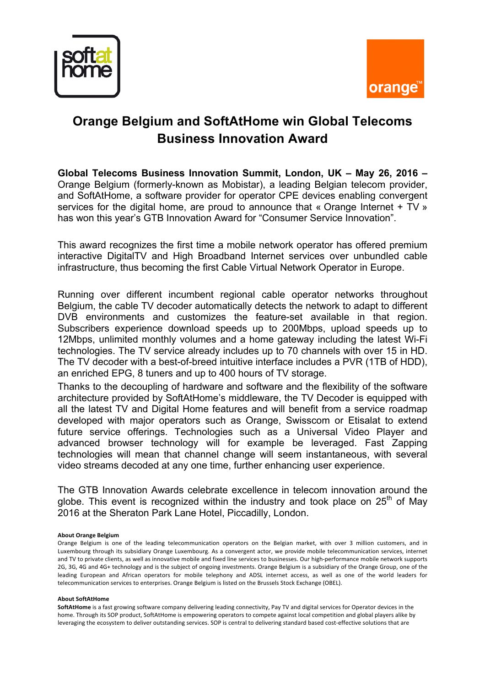



## **Orange Belgium and SoftAtHome win Global Telecoms Business Innovation Award**

**Global Telecoms Business Innovation Summit, London, UK – May 26, 2016 –** Orange Belgium (formerly-known as Mobistar), a leading Belgian telecom provider, and SoftAtHome, a software provider for operator CPE devices enabling convergent services for the digital home, are proud to announce that « Orange Internet + TV » has won this year's GTB Innovation Award for "Consumer Service Innovation".

This award recognizes the first time a mobile network operator has offered premium interactive DigitalTV and High Broadband Internet services over unbundled cable infrastructure, thus becoming the first Cable Virtual Network Operator in Europe.

Running over different incumbent regional cable operator networks throughout Belgium, the cable TV decoder automatically detects the network to adapt to different DVB environments and customizes the feature-set available in that region. Subscribers experience download speeds up to 200Mbps, upload speeds up to 12Mbps, unlimited monthly volumes and a home gateway including the latest Wi-Fi technologies. The TV service already includes up to 70 channels with over 15 in HD. The TV decoder with a best-of-breed intuitive interface includes a PVR (1TB of HDD), an enriched EPG, 8 tuners and up to 400 hours of TV storage.

Thanks to the decoupling of hardware and software and the flexibility of the software architecture provided by SoftAtHome's middleware, the TV Decoder is equipped with all the latest TV and Digital Home features and will benefit from a service roadmap developed with major operators such as Orange, Swisscom or Etisalat to extend future service offerings. Technologies such as a Universal Video Player and advanced browser technology will for example be leveraged. Fast Zapping technologies will mean that channel change will seem instantaneous, with several video streams decoded at any one time, further enhancing user experience.

The GTB Innovation Awards celebrate excellence in telecom innovation around the globe. This event is recognized within the industry and took place on  $25<sup>th</sup>$  of May 2016 at the Sheraton Park Lane Hotel, Piccadilly, London.

## **About Orange Belgium**

Orange Belgium is one of the leading telecommunication operators on the Belgian market, with over 3 million customers, and in Luxembourg through its subsidiary Orange Luxembourg. As a convergent actor, we provide mobile telecommunication services, internet and TV to private clients, as well as innovative mobile and fixed line services to businesses. Our high-performance mobile network supports 2G, 3G, 4G and 4G+ technology and is the subject of ongoing investments. Orange Belgium is a subsidiary of the Orange Group, one of the leading European and African operators for mobile telephony and ADSL internet access, as well as one of the world leaders for telecommunication services to enterprises. Orange Belgium is listed on the Brussels Stock Exchange (OBEL).

## **About SoftAtHome**

SoftAtHome is a fast growing software company delivering leading connectivity, Pay TV and digital services for Operator devices in the home. Through its SOP product, SoftAtHome is empowering operators to compete against local competition and global players alike by leveraging the ecosystem to deliver outstanding services. SOP is central to delivering standard based cost-effective solutions that are